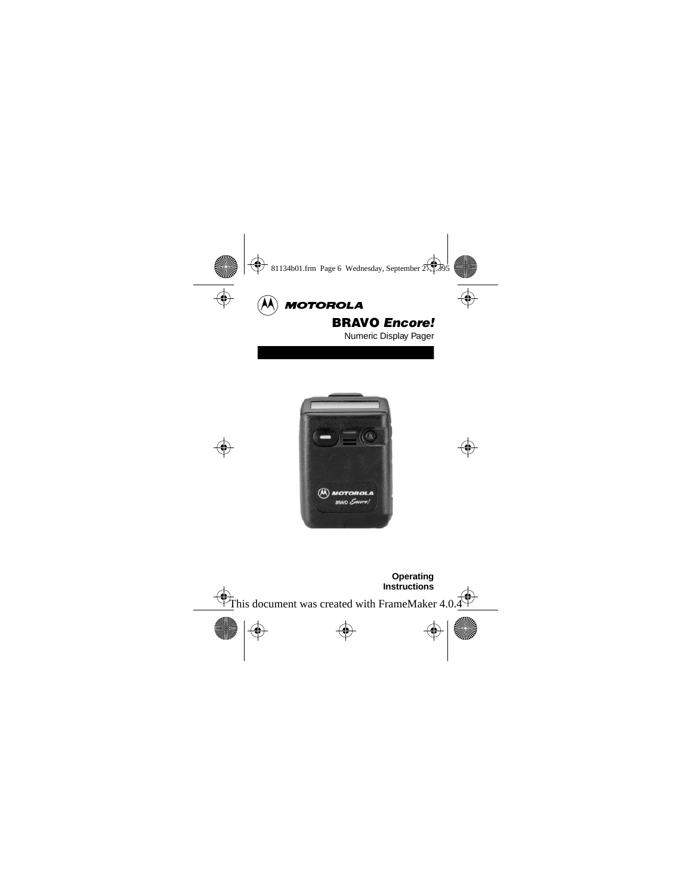

# BRAVO Encore!

Numeric Display Pager



**Operating Instructions**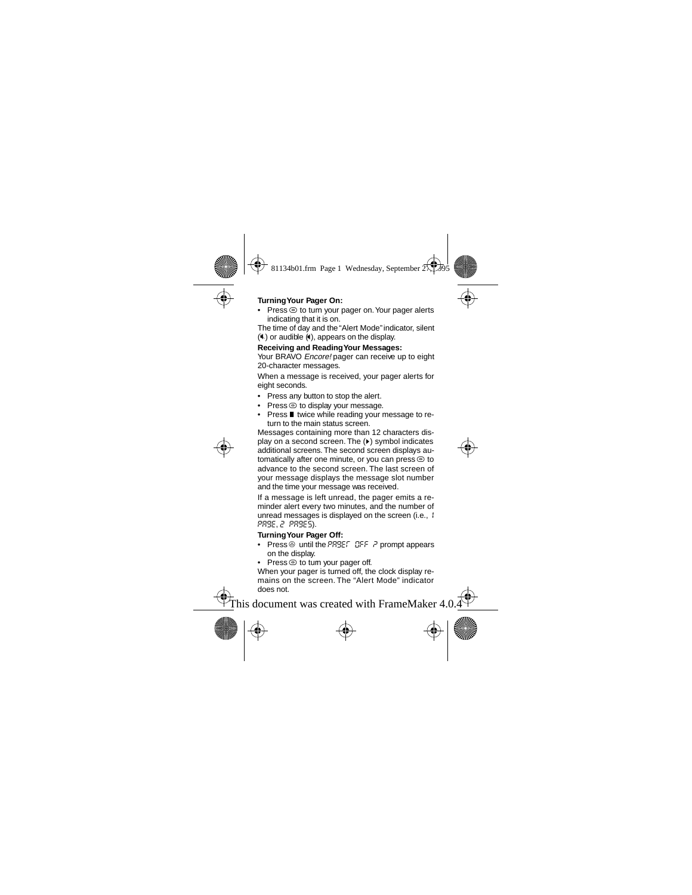# **Turning Your Pager On:**

 $Press \circledcirc$  to turn your pager on. Your pager alerts indicating that it is on.

The time of day and the "Alert Mode" indicator, silent  $(k)$  or audible  $(k)$ , appears on the display.

## **Receiving and Reading Your Messages:**

Your BRAVO *Encore!* pager can receive up to eight 20-character messages.

When a message is received, your pager alerts for eight seconds.

- Press any button to stop the alert.
- Press $\circledcirc$  to display your message.
- $\bullet$  Press  $\blacksquare$  twice while reading your message to return to the main status screen.

Messages containing more than 12 characters display on a second screen. The ( $\blacktriangleright$ ) symbol indicates additional screens. The second screen displays automatically after one minute, or you can press  $\odot$  to advance to the second screen. The last screen of your message displays the message slot number and the time your message was received.

If a message is left unread, the pager emits a reminder alert every two minutes, and the number of unread messages is displayed on the screen (i.e., 1 page, 2 pages).

# **Turning Your Pager Off:**

- Press @ until the PRBEF OFF ? prompt appears on the display.
- $Press @ to turn your page of.$

When your pager is turned off, the clock display remains on the screen. The "Alert Mode" indicator does not.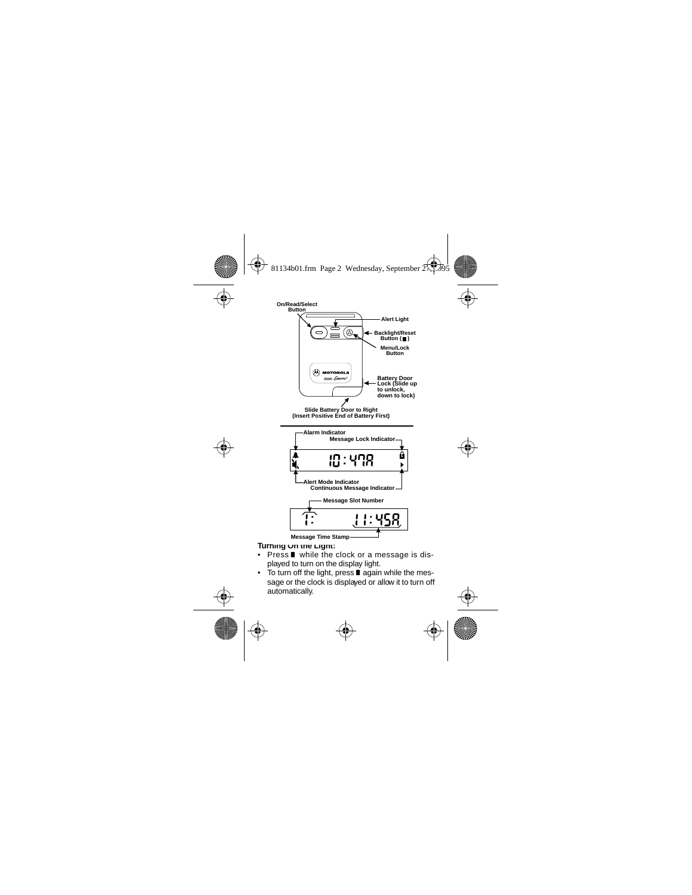

#### **Turning On the Light:**

- Press  $\blacksquare$  while the clock or a message is displayed to turn on the display light.
- To turn off the light, press  $\blacksquare$  again while the message or the clock is displayed or allow it to turn off automatically.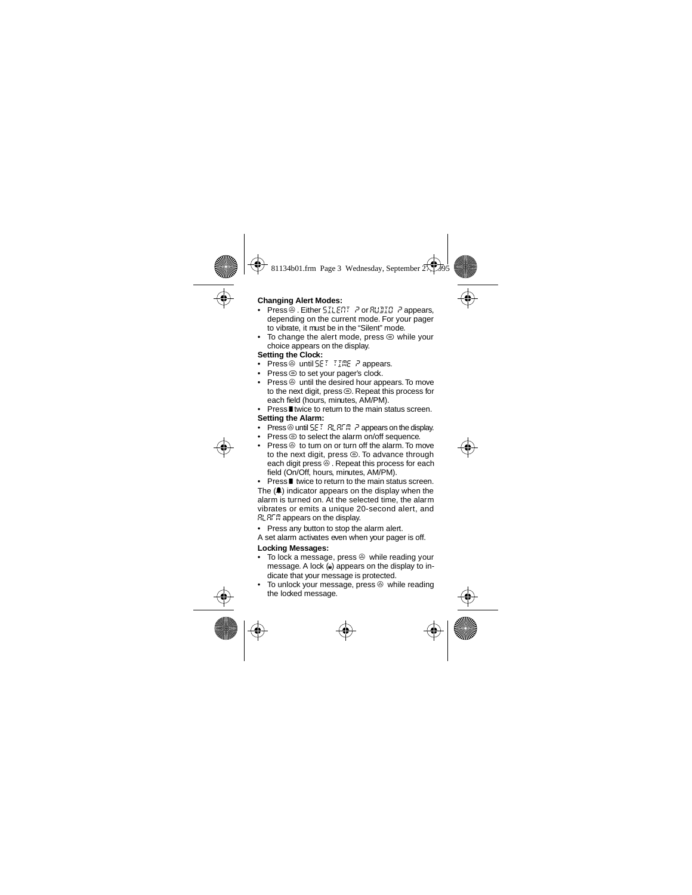# **Changing Alert Modes:**

- Press . Either SILENT P or RUDIO P appears, depending on the current mode. For your pager to vibrate, it must be in the "Silent" mode.
- To change the alert mode, press  $\odot$  while your choice appears on the display.

# **Setting the Clock:**

- Press  $\circledcirc$  until  $5E$   $\bar{t}$   $\bar{t}$   $\bar{t}$   $\bar{m}$  $\bar{e}$   $\bar{r}$  appears.
- Press $\circledcirc$  to set your pager's clock.
- Press  $\otimes$  until the desired hour appears. To move to the next digit, press $\circledcirc$ . Repeat this process for each field (hours, minutes, AM/PM).
- Press I twice to return to the main status screen. **Setting the Alarm:**
- Press  $\circledcirc$  until  $5E \in R$ LALAIR P appears on the display.
- Press  $\odot$  to select the alarm on/off sequence.
- Press  $\circledcirc$  to turn on or turn off the alarm. To move to the next digit, press  $\odot$ . To advance through each digit press  $\circledcirc$ . Repeat this process for each field (On/Off, hours, minutes, AM/PM).

Press **I** twice to return to the main status screen. The  $(\triangle)$  indicator appears on the display when the alarm is turned on. At the selected time, the alarm vibrates or emits a unique 20-second alert, and  $B$ :  $B$  $E$  appears on the display.

• Press any button to stop the alarm alert.

A set alarm activates even when your pager is off.

# **Locking Messages:**

- $\bullet$  To lock a message, press  $\circledcirc$  while reading your message. A lock  $(a)$  appears on the display to indicate that your message is protected.
- $\bullet$  To unlock your message, press  $\circledcirc$  while reading the locked message.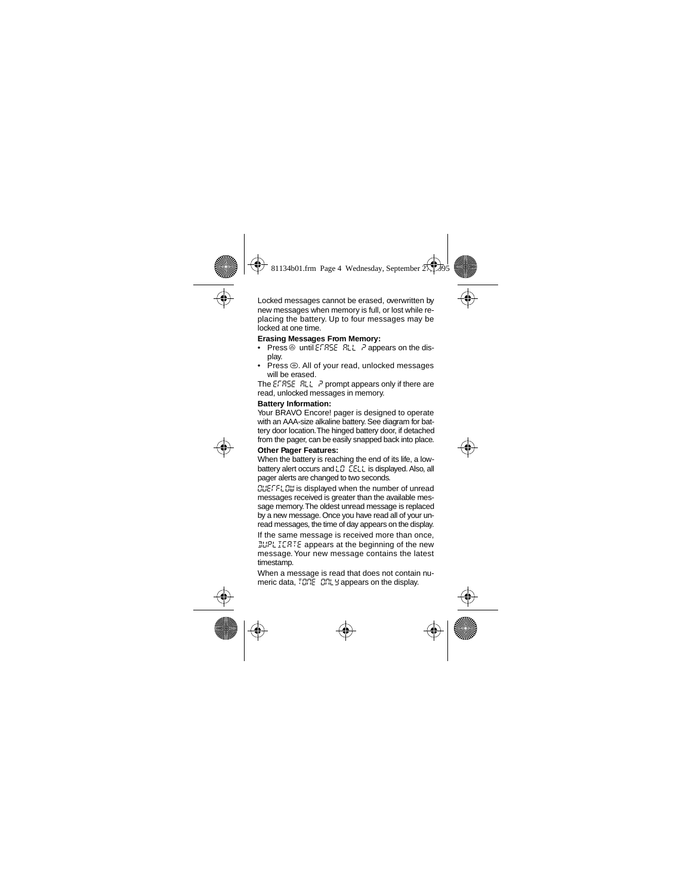Locked messages cannot be erased, overwritten by new messages when memory is full, or lost while replacing the battery. Up to four messages may be locked at one time.

# **Erasing Messages From Memory:**

- Press  $\circledcirc$  until EFRSE RLL  $\geq$  appears on the display.
- Press  $\odot$ . All of your read, unlocked messages will be erased.

The EFRSE  $R_{L}$  ? prompt appears only if there are read, unlocked messages in memory.

## **Battery Information:**

Your BRAVO Encore! pager is designed to operate with an AAA-size alkaline battery. See diagram for battery door location.The hinged battery door, if detached from the pager, can be easily snapped back into place.

# **Other Pager Features:**

When the battery is reaching the end of its life, a lowbattery alert occurs and L $\bar{C}$  CELL is displayed. Also, all pager alerts are changed to two seconds.

**CUEFFLOW** is displayed when the number of unread messages received is greater than the available message memory. The oldest unread message is replaced by a new message. Once you have read all of your unread messages, the time of day appears on the display.

If the same message is received more than once, **JUPLICRTE** appears at the beginning of the new message. Your new message contains the latest timestamp.

When a message is read that does not contain numeric data,  $757E - 57L$  appears on the display.